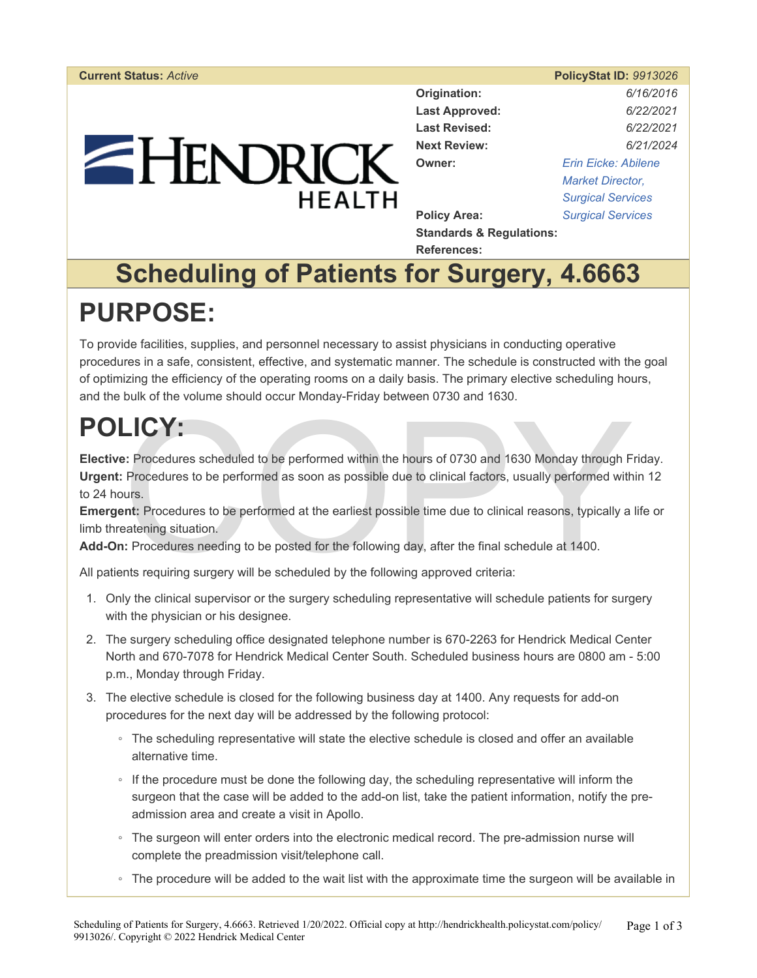# $=$  HENDRICK **HEALTH**

| <b>Current Status: Active</b> |                          | <b>PolicyStat ID: 9913026</b> |
|-------------------------------|--------------------------|-------------------------------|
|                               | Origination:             | 6/16/2016                     |
|                               | <b>Last Approved:</b>    | 6/22/2021                     |
|                               | <b>Last Revised:</b>     | 6/22/2021                     |
|                               | <b>Next Review:</b>      | 6/21/2024                     |
|                               | Owner:                   | <b>Erin Eicke: Abilene</b>    |
|                               |                          | <b>Market Director,</b>       |
| <b>HFAITH</b>                 |                          | <b>Surgical Services</b>      |
|                               | <b>Policy Area:</b>      | <b>Surgical Services</b>      |
|                               | Standarde & Poquiatione: |                               |

**Standards & Regulations: References:** 

### **Scheduling of Patients for Surgery, 4.6663 PURPOSE:**

To provide facilities, supplies, and personnel necessary to assist physicians in conducting operative procedures in a safe, consistent, effective, and systematic manner. The schedule is constructed with the goal of optimizing the efficiency of the operating rooms on a daily basis. The primary elective scheduling hours, and the bulk of the volume should occur Monday-Friday between 0730 and 1630.

## **POLICY:**

EXT:<br>
Sections scheduled to be performed within the hours of 0730 and 1630 Monday through F<br>
Procedures to be performed as soon as possible due to clinical factors, usually performed with<br>
surs.<br>
Int: Procedures to be perf **Elective:** Procedures scheduled to be performed within the hours of 0730 and 1630 Monday through Friday. **Urgent:** Procedures to be performed as soon as possible due to clinical factors, usually performed within 12 to 24 hours.

**Emergent:** Procedures to be performed at the earliest possible time due to clinical reasons, typically a life or limb threatening situation.

**Add-On:** Procedures needing to be posted for the following day, after the final schedule at 1400.

All patients requiring surgery will be scheduled by the following approved criteria:

- 1. Only the clinical supervisor or the surgery scheduling representative will schedule patients for surgery with the physician or his designee.
- 2. The surgery scheduling office designated telephone number is 670-2263 for Hendrick Medical Center North and 670-7078 for Hendrick Medical Center South. Scheduled business hours are 0800 am - 5:00 p.m., Monday through Friday.
- 3. The elective schedule is closed for the following business day at 1400. Any requests for add-on procedures for the next day will be addressed by the following protocol:
	- The scheduling representative will state the elective schedule is closed and offer an available alternative time.
	- If the procedure must be done the following day, the scheduling representative will inform the surgeon that the case will be added to the add-on list, take the patient information, notify the preadmission area and create a visit in Apollo.
	- The surgeon will enter orders into the electronic medical record. The pre-admission nurse will complete the preadmission visit/telephone call.
	- The procedure will be added to the wait list with the approximate time the surgeon will be available in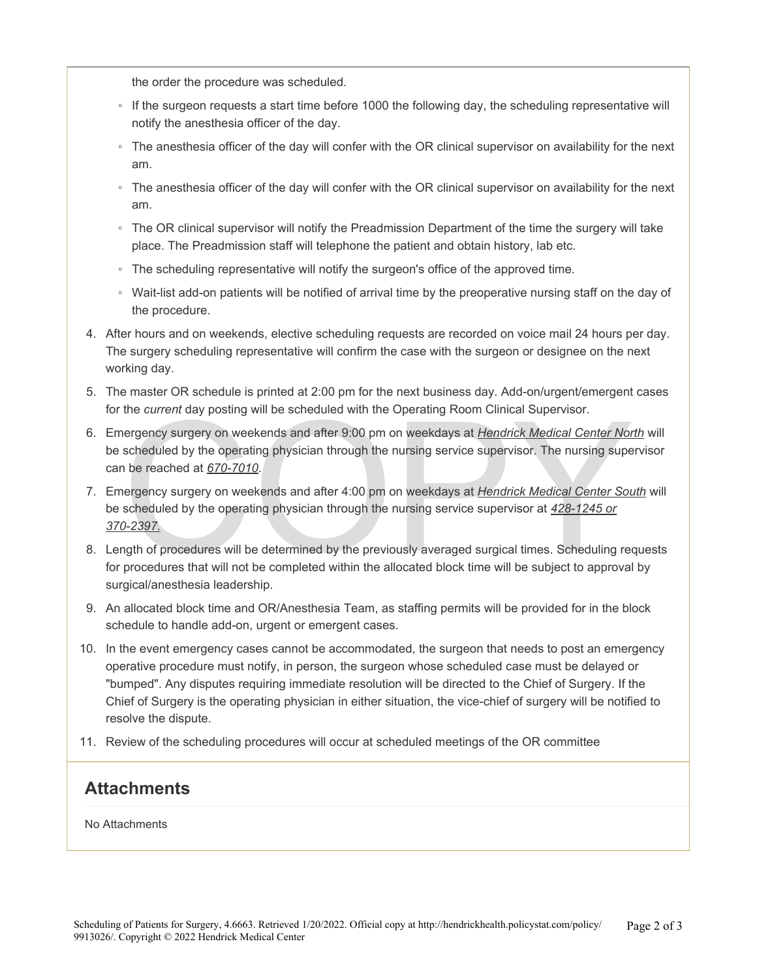the order the procedure was scheduled.

- If the surgeon requests a start time before 1000 the following day, the scheduling representative will notify the anesthesia officer of the day.
- The anesthesia officer of the day will confer with the OR clinical supervisor on availability for the next am.
- The anesthesia officer of the day will confer with the OR clinical supervisor on availability for the next am.
- The OR clinical supervisor will notify the Preadmission Department of the time the surgery will take place. The Preadmission staff will telephone the patient and obtain history, lab etc.
- The scheduling representative will notify the surgeon's office of the approved time.
- Wait-list add-on patients will be notified of arrival time by the preoperative nursing staff on the day of the procedure.
- 4. After hours and on weekends, elective scheduling requests are recorded on voice mail 24 hours per day. The surgery scheduling representative will confirm the case with the surgeon or designee on the next working day.
- 5. The master OR schedule is printed at 2:00 pm for the next business day. Add-on/urgent/emergent cases for the *current* day posting will be scheduled with the Operating Room Clinical Supervisor.
- 6. Emergency surgery on weekends and after 9:00 pm on weekdays at *Hendrick Medical Center North* will be scheduled by the operating physician through the nursing service supervisor. The nursing supervisor can be reached at *670-7010*.
- the *current* day posting will be scheduled with the Operating Room Clinical Supervisor.<br>
nergency surgery on weekends and after 9:00 pm on weekdays at *Hendrick Medical Center Nor*<br>
scheduled by the operating physician th 7. Emergency surgery on weekends and after 4:00 pm on weekdays at *Hendrick Medical Center South* will be scheduled by the operating physician through the nursing service supervisor at *428-1245 or 370-2397.*
- 8. Length of procedures will be determined by the previously averaged surgical times. Scheduling requests for procedures that will not be completed within the allocated block time will be subject to approval by surgical/anesthesia leadership.
- 9. An allocated block time and OR/Anesthesia Team, as staffing permits will be provided for in the block schedule to handle add-on, urgent or emergent cases.
- 10. In the event emergency cases cannot be accommodated, the surgeon that needs to post an emergency operative procedure must notify, in person, the surgeon whose scheduled case must be delayed or "bumped". Any disputes requiring immediate resolution will be directed to the Chief of Surgery. If the Chief of Surgery is the operating physician in either situation, the vice-chief of surgery will be notified to resolve the dispute.
- 11. Review of the scheduling procedures will occur at scheduled meetings of the OR committee

#### **Attachments**

No Attachments